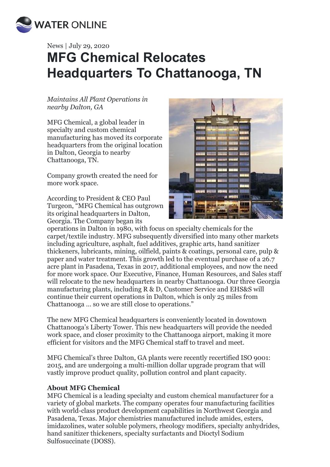

## News | July 29, 2020 **MFG Chemical Relocates Headquarters To Chattanooga, TN**

*Maintains All Plant Operations in nearby Dalton, GA*

MFG Chemical, a global leader in specialty and custom chemical manufacturing has moved its corporate headquarters from the original location in Dalton, Georgia to nearby Chattanooga, TN.

Company growth created the need for more work space.

According to President & CEO Paul Turgeon, "MFG Chemical has outgrown its original headquarters in Dalton, Georgia. The Company began its



operations in Dalton in 1980, with focus on specialty chemicals for the carpet/textile industry. MFG subsequently diversified into many other markets including agriculture, asphalt, fuel additives, graphic arts, hand sanitizer thickeners, lubricants, mining, oilfield, paints & coatings, personal care, pulp & paper and water treatment. This growth led to the eventual purchase of a 26.7 acre plant in Pasadena, Texas in 2017, additional employees, and now the need for more work space. Our Executive, Finance, Human Resources, and Sales staff will relocate to the new headquarters in nearby Chattanooga. Our three Georgia manufacturing plants, including R & D, Customer Service and EHS&S will continue their current operations in Dalton, which is only 25 miles from Chattanooga … so we are still close to operations."

The new MFG Chemical headquarters is conveniently located in downtown Chattanooga's Liberty Tower. This new headquarters will provide the needed work space, and closer proximity to the Chattanooga airport, making it more efficient for visitors and the MFG Chemical staff to travel and meet.

MFG Chemical's three Dalton, GA plants were recently recertified ISO 9001: 2015, and are undergoing a multi-million dollar upgrade program that will vastly improve product quality, pollution control and plant capacity.

## **About MFG Chemical**

MFG Chemical is a leading specialty and custom chemical manufacturer for a variety of global markets. The company operates four manufacturing facilities with world-class product development capabilities in Northwest Georgia and Pasadena, Texas. Major chemistries manufactured include amides, esters, imidazolines, water soluble polymers, rheology modifiers, specialty anhydrides, hand sanitizer thickeners, specialty surfactants and Dioctyl Sodium Sulfosuccinate (DOSS).